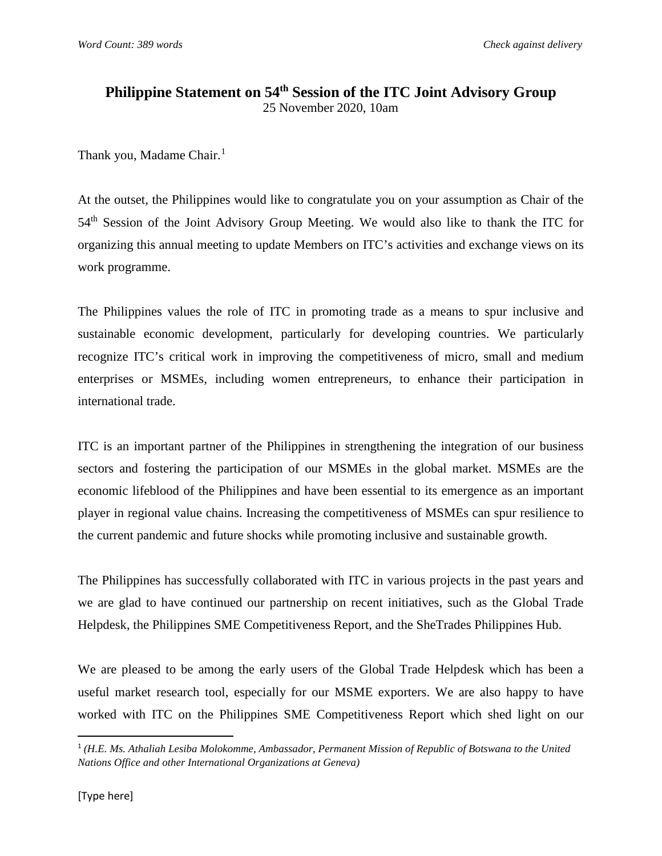## **Philippine Statement on 54th Session of the ITC Joint Advisory Group** 25 November 2020, 10am

Thank you, Madame Chair. [1](#page-0-0)

At the outset, the Philippines would like to congratulate you on your assumption as Chair of the 54<sup>th</sup> Session of the Joint Advisory Group Meeting. We would also like to thank the ITC for organizing this annual meeting to update Members on ITC's activities and exchange views on its work programme.

The Philippines values the role of ITC in promoting trade as a means to spur inclusive and sustainable economic development, particularly for developing countries. We particularly recognize ITC's critical work in improving the competitiveness of micro, small and medium enterprises or MSMEs, including women entrepreneurs, to enhance their participation in international trade.

ITC is an important partner of the Philippines in strengthening the integration of our business sectors and fostering the participation of our MSMEs in the global market. MSMEs are the economic lifeblood of the Philippines and have been essential to its emergence as an important player in regional value chains. Increasing the competitiveness of MSMEs can spur resilience to the current pandemic and future shocks while promoting inclusive and sustainable growth.

The Philippines has successfully collaborated with ITC in various projects in the past years and we are glad to have continued our partnership on recent initiatives, such as the Global Trade Helpdesk, the Philippines SME Competitiveness Report, and the SheTrades Philippines Hub.

We are pleased to be among the early users of the Global Trade Helpdesk which has been a useful market research tool, especially for our MSME exporters. We are also happy to have worked with ITC on the Philippines SME Competitiveness Report which shed light on our

<span id="page-0-0"></span> <sup>1</sup> *(H.E. Ms. Athaliah Lesiba Molokomme, Ambassador, Permanent Mission of Republic of Botswana to the United Nations Office and other International Organizations at Geneva)*